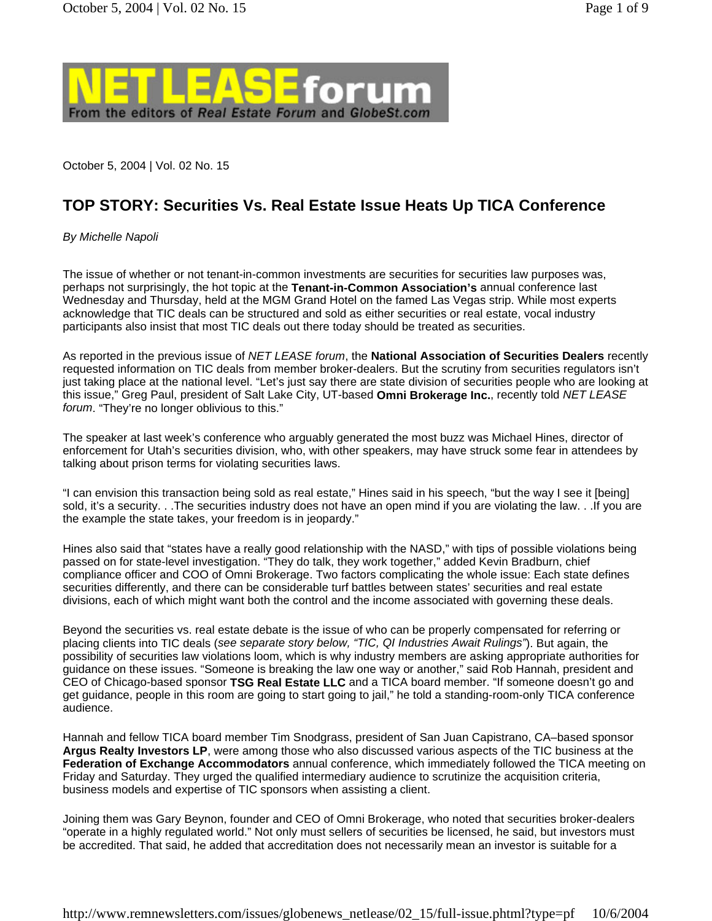

October 5, 2004 | Vol. 02 No. 15

## **TOP STORY: Securities Vs. Real Estate Issue Heats Up TICA Conference**

### *By Michelle Napoli*

The issue of whether or not tenant-in-common investments are securities for securities law purposes was, perhaps not surprisingly, the hot topic at the **Tenant-in-Common Association's** annual conference last Wednesday and Thursday, held at the MGM Grand Hotel on the famed Las Vegas strip. While most experts acknowledge that TIC deals can be structured and sold as either securities or real estate, vocal industry participants also insist that most TIC deals out there today should be treated as securities.

As reported in the previous issue of *NET LEASE forum*, the **National Association of Securities Dealers** recently requested information on TIC deals from member broker-dealers. But the scrutiny from securities regulators isn't just taking place at the national level. "Let's just say there are state division of securities people who are looking at this issue," Greg Paul, president of Salt Lake City, UT-based **Omni Brokerage Inc.**, recently told *NET LEASE forum*. "They're no longer oblivious to this."

The speaker at last week's conference who arguably generated the most buzz was Michael Hines, director of enforcement for Utah's securities division, who, with other speakers, may have struck some fear in attendees by talking about prison terms for violating securities laws.

"I can envision this transaction being sold as real estate," Hines said in his speech, "but the way I see it [being] sold, it's a security. . .The securities industry does not have an open mind if you are violating the law. . .If you are the example the state takes, your freedom is in jeopardy."

Hines also said that "states have a really good relationship with the NASD," with tips of possible violations being passed on for state-level investigation. "They do talk, they work together," added Kevin Bradburn, chief compliance officer and COO of Omni Brokerage. Two factors complicating the whole issue: Each state defines securities differently, and there can be considerable turf battles between states' securities and real estate divisions, each of which might want both the control and the income associated with governing these deals.

Beyond the securities vs. real estate debate is the issue of who can be properly compensated for referring or placing clients into TIC deals (*see separate story below, "TIC, QI Industries Await Rulings"*). But again, the possibility of securities law violations loom, which is why industry members are asking appropriate authorities for guidance on these issues. "Someone is breaking the law one way or another," said Rob Hannah, president and CEO of Chicago-based sponsor **TSG Real Estate LLC** and a TICA board member. "If someone doesn't go and get guidance, people in this room are going to start going to jail," he told a standing-room-only TICA conference audience.

Hannah and fellow TICA board member Tim Snodgrass, president of San Juan Capistrano, CA–based sponsor **Argus Realty Investors LP**, were among those who also discussed various aspects of the TIC business at the **Federation of Exchange Accommodators** annual conference, which immediately followed the TICA meeting on Friday and Saturday. They urged the qualified intermediary audience to scrutinize the acquisition criteria, business models and expertise of TIC sponsors when assisting a client.

Joining them was Gary Beynon, founder and CEO of Omni Brokerage, who noted that securities broker-dealers "operate in a highly regulated world." Not only must sellers of securities be licensed, he said, but investors must be accredited. That said, he added that accreditation does not necessarily mean an investor is suitable for a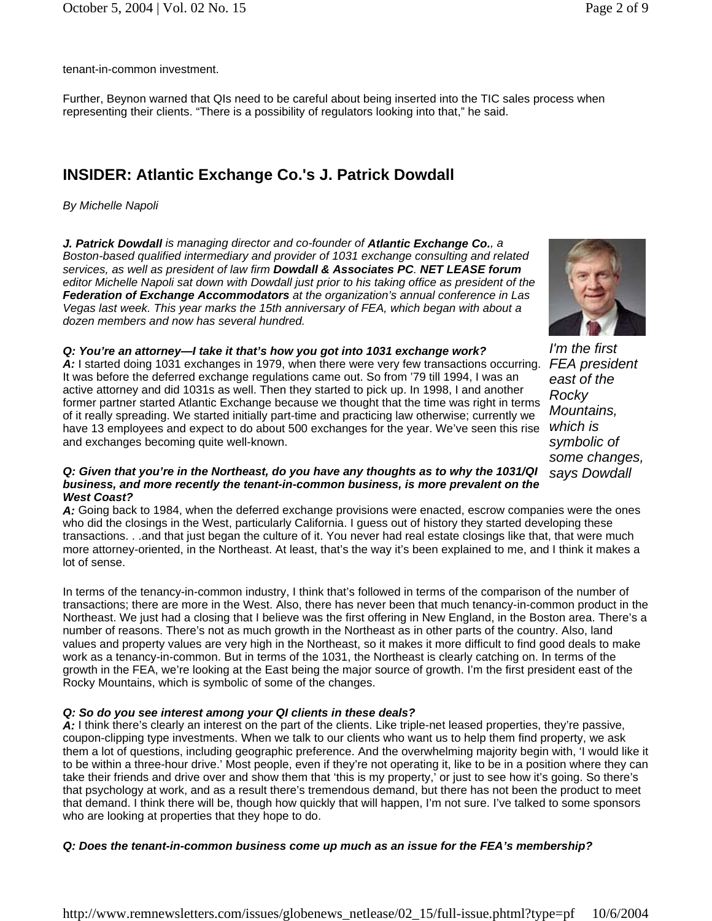tenant-in-common investment.

Further, Beynon warned that QIs need to be careful about being inserted into the TIC sales process when representing their clients. "There is a possibility of regulators looking into that," he said.

# **INSIDER: Atlantic Exchange Co.'s J. Patrick Dowdall**

### *By Michelle Napoli*

*J. Patrick Dowdall is managing director and co-founder of Atlantic Exchange Co., a Boston-based qualified intermediary and provider of 1031 exchange consulting and related services, as well as president of law firm Dowdall & Associates PC. NET LEASE forum editor Michelle Napoli sat down with Dowdall just prior to his taking office as president of the Federation of Exchange Accommodators at the organization's annual conference in Las Vegas last week. This year marks the 15th anniversary of FEA, which began with about a dozen members and now has several hundred.*



*I'm the first east of the Rocky Mountains, which is symbolic of some changes, says Dowdall*

### *Q: You're an attorney—I take it that's how you got into 1031 exchange work?*

*A:* I started doing 1031 exchanges in 1979, when there were very few transactions occurring. *FEA president*  It was before the deferred exchange regulations came out. So from '79 till 1994, I was an active attorney and did 1031s as well. Then they started to pick up. In 1998, I and another former partner started Atlantic Exchange because we thought that the time was right in terms of it really spreading. We started initially part-time and practicing law otherwise; currently we have 13 employees and expect to do about 500 exchanges for the year. We've seen this rise and exchanges becoming quite well-known.

### *Q: Given that you're in the Northeast, do you have any thoughts as to why the 1031/QI business, and more recently the tenant-in-common business, is more prevalent on the West Coast?*

*A:* Going back to 1984, when the deferred exchange provisions were enacted, escrow companies were the ones who did the closings in the West, particularly California. I guess out of history they started developing these transactions. . .and that just began the culture of it. You never had real estate closings like that, that were much more attorney-oriented, in the Northeast. At least, that's the way it's been explained to me, and I think it makes a lot of sense.

In terms of the tenancy-in-common industry, I think that's followed in terms of the comparison of the number of transactions; there are more in the West. Also, there has never been that much tenancy-in-common product in the Northeast. We just had a closing that I believe was the first offering in New England, in the Boston area. There's a number of reasons. There's not as much growth in the Northeast as in other parts of the country. Also, land values and property values are very high in the Northeast, so it makes it more difficult to find good deals to make work as a tenancy-in-common. But in terms of the 1031, the Northeast is clearly catching on. In terms of the growth in the FEA, we're looking at the East being the major source of growth. I'm the first president east of the Rocky Mountains, which is symbolic of some of the changes.

### *Q: So do you see interest among your QI clients in these deals?*

*A:* I think there's clearly an interest on the part of the clients. Like triple-net leased properties, they're passive, coupon-clipping type investments. When we talk to our clients who want us to help them find property, we ask them a lot of questions, including geographic preference. And the overwhelming majority begin with, 'I would like it to be within a three-hour drive.' Most people, even if they're not operating it, like to be in a position where they can take their friends and drive over and show them that 'this is my property,' or just to see how it's going. So there's that psychology at work, and as a result there's tremendous demand, but there has not been the product to meet that demand. I think there will be, though how quickly that will happen, I'm not sure. I've talked to some sponsors who are looking at properties that they hope to do.

### *Q: Does the tenant-in-common business come up much as an issue for the FEA's membership?*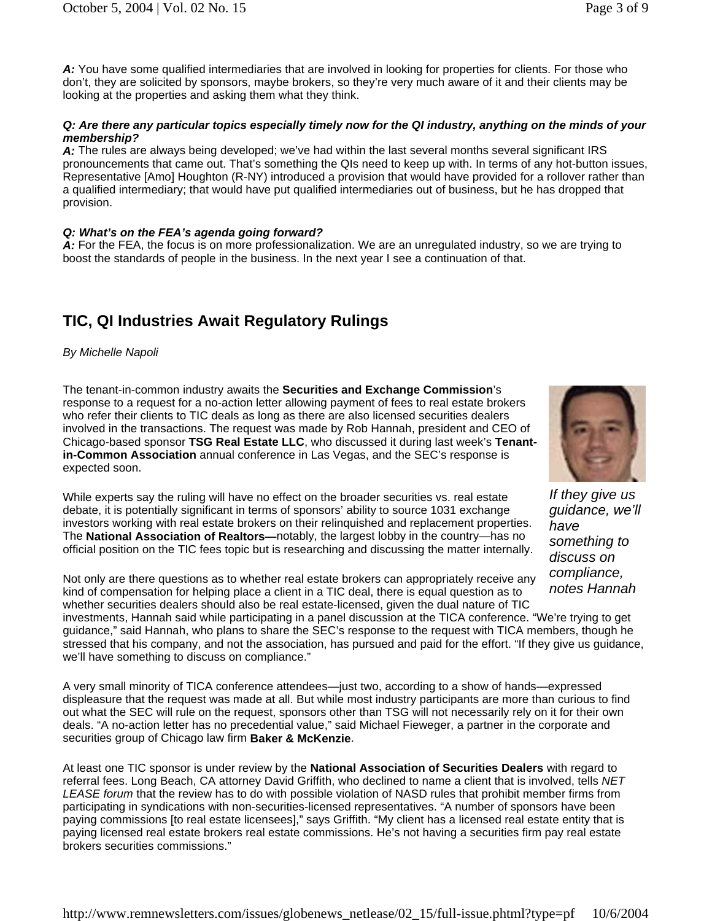*A:* You have some qualified intermediaries that are involved in looking for properties for clients. For those who don't, they are solicited by sponsors, maybe brokers, so they're very much aware of it and their clients may be looking at the properties and asking them what they think.

#### *Q: Are there any particular topics especially timely now for the QI industry, anything on the minds of your membership?*

A: The rules are always being developed; we've had within the last several months several significant IRS pronouncements that came out. That's something the QIs need to keep up with. In terms of any hot-button issues, Representative [Amo] Houghton (R-NY) introduced a provision that would have provided for a rollover rather than a qualified intermediary; that would have put qualified intermediaries out of business, but he has dropped that provision.

### *Q: What's on the FEA's agenda going forward?*

*A:* For the FEA, the focus is on more professionalization. We are an unregulated industry, so we are trying to boost the standards of people in the business. In the next year I see a continuation of that.

# **TIC, QI Industries Await Regulatory Rulings**

### *By Michelle Napoli*

The tenant-in-common industry awaits the **Securities and Exchange Commission**'s response to a request for a no-action letter allowing payment of fees to real estate brokers who refer their clients to TIC deals as long as there are also licensed securities dealers involved in the transactions. The request was made by Rob Hannah, president and CEO of Chicago-based sponsor **TSG Real Estate LLC**, who discussed it during last week's **Tenantin-Common Association** annual conference in Las Vegas, and the SEC's response is expected soon.

While experts say the ruling will have no effect on the broader securities vs. real estate debate, it is potentially significant in terms of sponsors' ability to source 1031 exchange investors working with real estate brokers on their relinquished and replacement properties. The **National Association of Realtors—**notably, the largest lobby in the country—has no official position on the TIC fees topic but is researching and discussing the matter internally.

Not only are there questions as to whether real estate brokers can appropriately receive any kind of compensation for helping place a client in a TIC deal, there is equal question as to whether securities dealers should also be real estate-licensed, given the dual nature of TIC

investments, Hannah said while participating in a panel discussion at the TICA conference. "We're trying to get guidance," said Hannah, who plans to share the SEC's response to the request with TICA members, though he stressed that his company, and not the association, has pursued and paid for the effort. "If they give us guidance, we'll have something to discuss on compliance."

A very small minority of TICA conference attendees—just two, according to a show of hands—expressed displeasure that the request was made at all. But while most industry participants are more than curious to find out what the SEC will rule on the request, sponsors other than TSG will not necessarily rely on it for their own deals. "A no-action letter has no precedential value," said Michael Fieweger, a partner in the corporate and securities group of Chicago law firm **Baker & McKenzie**.

At least one TIC sponsor is under review by the **National Association of Securities Dealers** with regard to referral fees. Long Beach, CA attorney David Griffith, who declined to name a client that is involved, tells *NET LEASE forum* that the review has to do with possible violation of NASD rules that prohibit member firms from participating in syndications with non-securities-licensed representatives. "A number of sponsors have been paying commissions [to real estate licensees]," says Griffith. "My client has a licensed real estate entity that is paying licensed real estate brokers real estate commissions. He's not having a securities firm pay real estate brokers securities commissions."



*If they give us guidance, we'll have something to discuss on compliance, notes Hannah*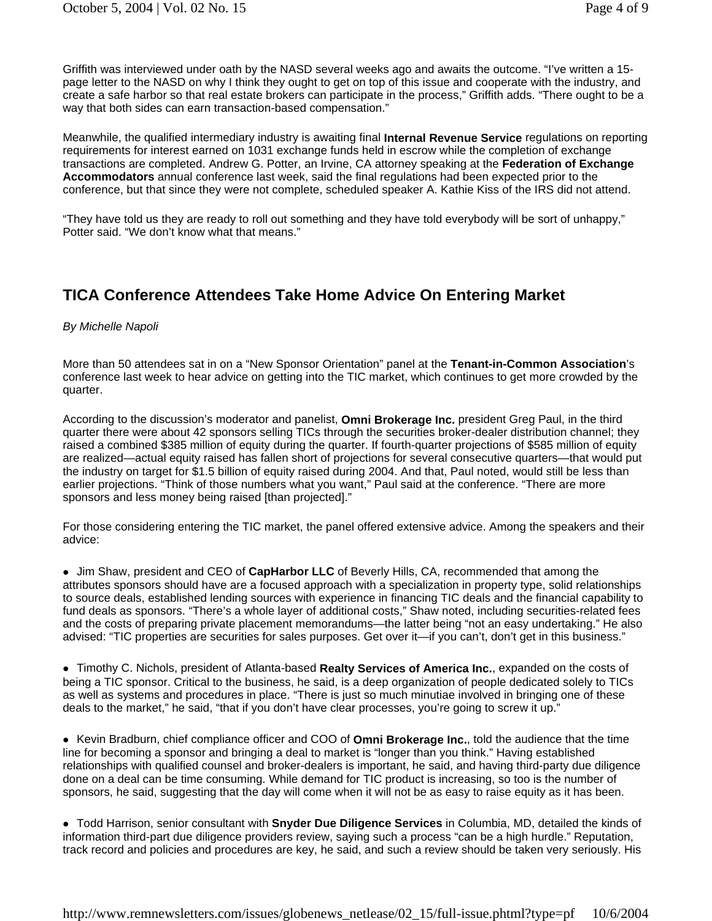Griffith was interviewed under oath by the NASD several weeks ago and awaits the outcome. "I've written a 15 page letter to the NASD on why I think they ought to get on top of this issue and cooperate with the industry, and create a safe harbor so that real estate brokers can participate in the process," Griffith adds. "There ought to be a way that both sides can earn transaction-based compensation."

Meanwhile, the qualified intermediary industry is awaiting final **Internal Revenue Service** regulations on reporting requirements for interest earned on 1031 exchange funds held in escrow while the completion of exchange transactions are completed. Andrew G. Potter, an Irvine, CA attorney speaking at the **Federation of Exchange Accommodators** annual conference last week, said the final regulations had been expected prior to the conference, but that since they were not complete, scheduled speaker A. Kathie Kiss of the IRS did not attend.

"They have told us they are ready to roll out something and they have told everybody will be sort of unhappy," Potter said. "We don't know what that means."

### **TICA Conference Attendees Take Home Advice On Entering Market**

#### *By Michelle Napoli*

More than 50 attendees sat in on a "New Sponsor Orientation" panel at the **Tenant-in-Common Association**'s conference last week to hear advice on getting into the TIC market, which continues to get more crowded by the quarter.

According to the discussion's moderator and panelist, **Omni Brokerage Inc.** president Greg Paul, in the third quarter there were about 42 sponsors selling TICs through the securities broker-dealer distribution channel; they raised a combined \$385 million of equity during the quarter. If fourth-quarter projections of \$585 million of equity are realized—actual equity raised has fallen short of projections for several consecutive quarters—that would put the industry on target for \$1.5 billion of equity raised during 2004. And that, Paul noted, would still be less than earlier projections. "Think of those numbers what you want," Paul said at the conference. "There are more sponsors and less money being raised [than projected]."

For those considering entering the TIC market, the panel offered extensive advice. Among the speakers and their advice:

• Jim Shaw, president and CEO of **CapHarbor LLC** of Beverly Hills, CA, recommended that among the attributes sponsors should have are a focused approach with a specialization in property type, solid relationships to source deals, established lending sources with experience in financing TIC deals and the financial capability to fund deals as sponsors. "There's a whole layer of additional costs," Shaw noted, including securities-related fees and the costs of preparing private placement memorandums—the latter being "not an easy undertaking." He also advised: "TIC properties are securities for sales purposes. Get over it—if you can't, don't get in this business."

• Timothy C. Nichols, president of Atlanta-based Realty Services of America Inc., expanded on the costs of being a TIC sponsor. Critical to the business, he said, is a deep organization of people dedicated solely to TICs as well as systems and procedures in place. "There is just so much minutiae involved in bringing one of these deals to the market," he said, "that if you don't have clear processes, you're going to screw it up."

• Kevin Bradburn, chief compliance officer and COO of Omni Brokerage Inc., told the audience that the time line for becoming a sponsor and bringing a deal to market is "longer than you think." Having established relationships with qualified counsel and broker-dealers is important, he said, and having third-party due diligence done on a deal can be time consuming. While demand for TIC product is increasing, so too is the number of sponsors, he said, suggesting that the day will come when it will not be as easy to raise equity as it has been.

• Todd Harrison, senior consultant with Snyder Due Diligence Services in Columbia, MD, detailed the kinds of information third-part due diligence providers review, saying such a process "can be a high hurdle." Reputation, track record and policies and procedures are key, he said, and such a review should be taken very seriously. His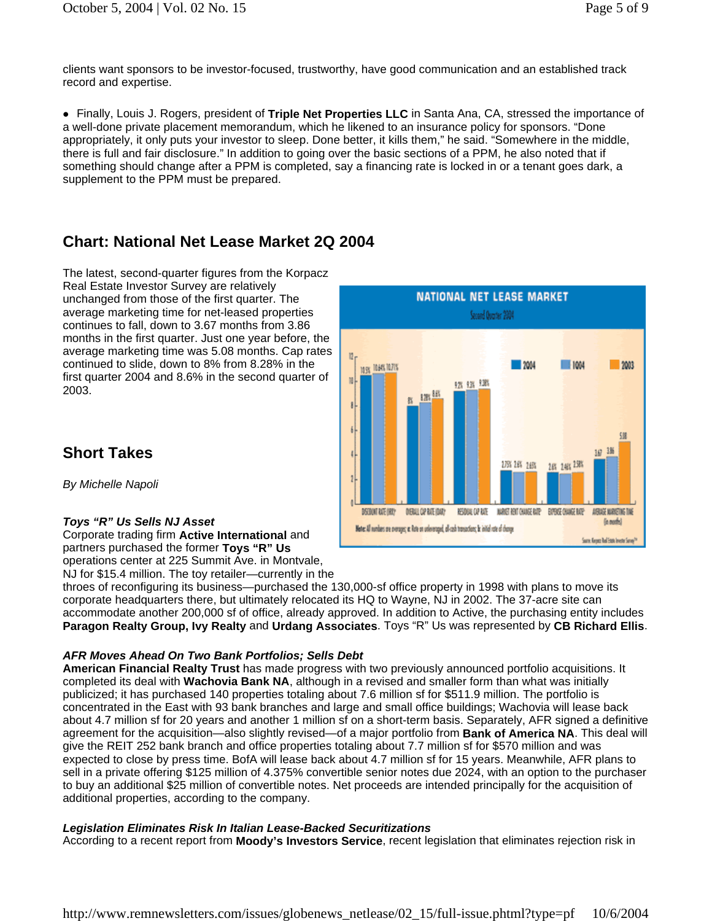clients want sponsors to be investor-focused, trustworthy, have good communication and an established track record and expertise.

**Finally, Louis J. Rogers, president of Triple Net Properties LLC** in Santa Ana, CA, stressed the importance of a well-done private placement memorandum, which he likened to an insurance policy for sponsors. "Done appropriately, it only puts your investor to sleep. Done better, it kills them," he said. "Somewhere in the middle, there is full and fair disclosure." In addition to going over the basic sections of a PPM, he also noted that if something should change after a PPM is completed, say a financing rate is locked in or a tenant goes dark, a supplement to the PPM must be prepared.

### **Chart: National Net Lease Market 2Q 2004**

The latest, second-quarter figures from the Korpacz Real Estate Investor Survey are relatively unchanged from those of the first quarter. The average marketing time for net-leased properties continues to fall, down to 3.67 months from 3.86 months in the first quarter. Just one year before, the average marketing time was 5.08 months. Cap rates continued to slide, down to 8% from 8.28% in the first quarter 2004 and 8.6% in the second quarter of 2003.

## **Short Takes**

*By Michelle Napoli* 

### *Toys "R" Us Sells NJ Asset*

Corporate trading firm **Active International** and partners purchased the former **Toys "R" Us** operations center at 225 Summit Ave. in Montvale,

NJ for \$15.4 million. The toy retailer—currently in the

throes of reconfiguring its business—purchased the 130,000-sf office property in 1998 with plans to move its corporate headquarters there, but ultimately relocated its HQ to Wayne, NJ in 2002. The 37-acre site can accommodate another 200,000 sf of office, already approved. In addition to Active, the purchasing entity includes **Paragon Realty Group, Ivy Realty** and **Urdang Associates**. Toys "R" Us was represented by **CB Richard Ellis**.

### *AFR Moves Ahead On Two Bank Portfolios; Sells Debt*

**American Financial Realty Trust** has made progress with two previously announced portfolio acquisitions. It completed its deal with **Wachovia Bank NA**, although in a revised and smaller form than what was initially publicized; it has purchased 140 properties totaling about 7.6 million sf for \$511.9 million. The portfolio is concentrated in the East with 93 bank branches and large and small office buildings; Wachovia will lease back about 4.7 million sf for 20 years and another 1 million sf on a short-term basis. Separately, AFR signed a definitive agreement for the acquisition—also slightly revised—of a major portfolio from **Bank of America NA**. This deal will give the REIT 252 bank branch and office properties totaling about 7.7 million sf for \$570 million and was expected to close by press time. BofA will lease back about 4.7 million sf for 15 years. Meanwhile, AFR plans to sell in a private offering \$125 million of 4.375% convertible senior notes due 2024, with an option to the purchaser to buy an additional \$25 million of convertible notes. Net proceeds are intended principally for the acquisition of additional properties, according to the company.

### *Legislation Eliminates Risk In Italian Lease-Backed Securitizations*

According to a recent report from **Moody's Investors Service**, recent legislation that eliminates rejection risk in

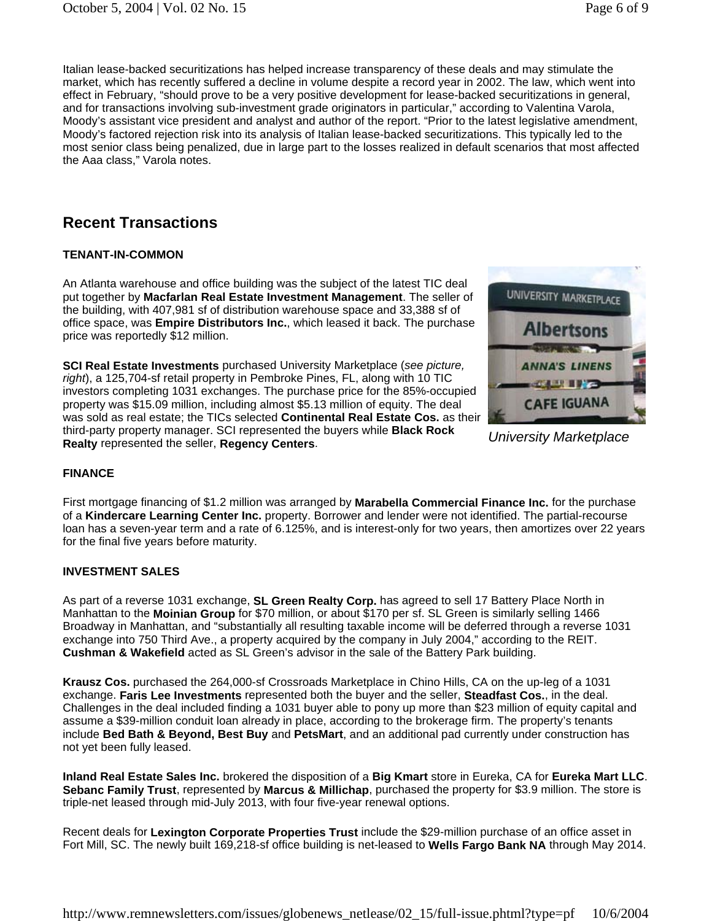Italian lease-backed securitizations has helped increase transparency of these deals and may stimulate the market, which has recently suffered a decline in volume despite a record year in 2002. The law, which went into effect in February, "should prove to be a very positive development for lease-backed securitizations in general, and for transactions involving sub-investment grade originators in particular," according to Valentina Varola, Moody's assistant vice president and analyst and author of the report. "Prior to the latest legislative amendment, Moody's factored rejection risk into its analysis of Italian lease-backed securitizations. This typically led to the most senior class being penalized, due in large part to the losses realized in default scenarios that most affected the Aaa class," Varola notes.

## **Recent Transactions**

### **TENANT-IN-COMMON**

An Atlanta warehouse and office building was the subject of the latest TIC deal put together by **Macfarlan Real Estate Investment Management**. The seller of the building, with 407,981 sf of distribution warehouse space and 33,388 sf of office space, was **Empire Distributors Inc.**, which leased it back. The purchase price was reportedly \$12 million.

**SCI Real Estate Investments** purchased University Marketplace (*see picture, right*), a 125,704-sf retail property in Pembroke Pines, FL, along with 10 TIC investors completing 1031 exchanges. The purchase price for the 85%-occupied property was \$15.09 million, including almost \$5.13 million of equity. The deal was sold as real estate; the TICs selected **Continental Real Estate Cos.** as their third-party property manager. SCI represented the buyers while **Black Rock Realty** represented the seller, **Regency Centers**.



*University Marketplace*

### **FINANCE**

First mortgage financing of \$1.2 million was arranged by **Marabella Commercial Finance Inc.** for the purchase of a **Kindercare Learning Center Inc.** property. Borrower and lender were not identified. The partial-recourse loan has a seven-year term and a rate of 6.125%, and is interest-only for two years, then amortizes over 22 years for the final five years before maturity.

### **INVESTMENT SALES**

As part of a reverse 1031 exchange, **SL Green Realty Corp.** has agreed to sell 17 Battery Place North in Manhattan to the **Moinian Group** for \$70 million, or about \$170 per sf. SL Green is similarly selling 1466 Broadway in Manhattan, and "substantially all resulting taxable income will be deferred through a reverse 1031 exchange into 750 Third Ave., a property acquired by the company in July 2004," according to the REIT. **Cushman & Wakefield** acted as SL Green's advisor in the sale of the Battery Park building.

**Krausz Cos.** purchased the 264,000-sf Crossroads Marketplace in Chino Hills, CA on the up-leg of a 1031 exchange. **Faris Lee Investments** represented both the buyer and the seller, **Steadfast Cos.**, in the deal. Challenges in the deal included finding a 1031 buyer able to pony up more than \$23 million of equity capital and assume a \$39-million conduit loan already in place, according to the brokerage firm. The property's tenants include **Bed Bath & Beyond, Best Buy** and **PetsMart**, and an additional pad currently under construction has not yet been fully leased.

**Inland Real Estate Sales Inc.** brokered the disposition of a **Big Kmart** store in Eureka, CA for **Eureka Mart LLC**. **Sebanc Family Trust**, represented by **Marcus & Millichap**, purchased the property for \$3.9 million. The store is triple-net leased through mid-July 2013, with four five-year renewal options.

Recent deals for **Lexington Corporate Properties Trust** include the \$29-million purchase of an office asset in Fort Mill, SC. The newly built 169,218-sf office building is net-leased to **Wells Fargo Bank NA** through May 2014.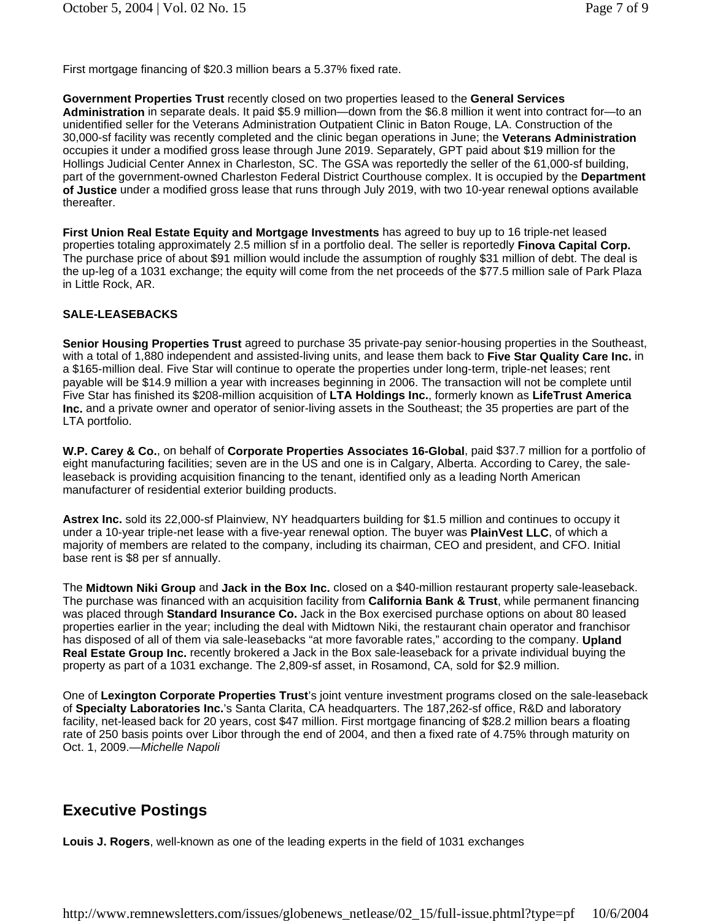First mortgage financing of \$20.3 million bears a 5.37% fixed rate.

### **Government Properties Trust** recently closed on two properties leased to the **General Services**

**Administration** in separate deals. It paid \$5.9 million—down from the \$6.8 million it went into contract for—to an unidentified seller for the Veterans Administration Outpatient Clinic in Baton Rouge, LA. Construction of the 30,000-sf facility was recently completed and the clinic began operations in June; the **Veterans Administration** occupies it under a modified gross lease through June 2019. Separately, GPT paid about \$19 million for the Hollings Judicial Center Annex in Charleston, SC. The GSA was reportedly the seller of the 61,000-sf building, part of the government-owned Charleston Federal District Courthouse complex. It is occupied by the **Department of Justice** under a modified gross lease that runs through July 2019, with two 10-year renewal options available thereafter.

**First Union Real Estate Equity and Mortgage Investments** has agreed to buy up to 16 triple-net leased properties totaling approximately 2.5 million sf in a portfolio deal. The seller is reportedly **Finova Capital Corp.** The purchase price of about \$91 million would include the assumption of roughly \$31 million of debt. The deal is the up-leg of a 1031 exchange; the equity will come from the net proceeds of the \$77.5 million sale of Park Plaza in Little Rock, AR.

#### **SALE-LEASEBACKS**

**Senior Housing Properties Trust** agreed to purchase 35 private-pay senior-housing properties in the Southeast, with a total of 1,880 independent and assisted-living units, and lease them back to **Five Star Quality Care Inc.** in a \$165-million deal. Five Star will continue to operate the properties under long-term, triple-net leases; rent payable will be \$14.9 million a year with increases beginning in 2006. The transaction will not be complete until Five Star has finished its \$208-million acquisition of **LTA Holdings Inc.**, formerly known as **LifeTrust America Inc.** and a private owner and operator of senior-living assets in the Southeast; the 35 properties are part of the LTA portfolio.

**W.P. Carey & Co.**, on behalf of **Corporate Properties Associates 16-Global**, paid \$37.7 million for a portfolio of eight manufacturing facilities; seven are in the US and one is in Calgary, Alberta. According to Carey, the saleleaseback is providing acquisition financing to the tenant, identified only as a leading North American manufacturer of residential exterior building products.

**Astrex Inc.** sold its 22,000-sf Plainview, NY headquarters building for \$1.5 million and continues to occupy it under a 10-year triple-net lease with a five-year renewal option. The buyer was **PlainVest LLC**, of which a majority of members are related to the company, including its chairman, CEO and president, and CFO. Initial base rent is \$8 per sf annually.

The **Midtown Niki Group** and **Jack in the Box Inc.** closed on a \$40-million restaurant property sale-leaseback. The purchase was financed with an acquisition facility from **California Bank & Trust**, while permanent financing was placed through **Standard Insurance Co.** Jack in the Box exercised purchase options on about 80 leased properties earlier in the year; including the deal with Midtown Niki, the restaurant chain operator and franchisor has disposed of all of them via sale-leasebacks "at more favorable rates," according to the company. **Upland Real Estate Group Inc.** recently brokered a Jack in the Box sale-leaseback for a private individual buying the property as part of a 1031 exchange. The 2,809-sf asset, in Rosamond, CA, sold for \$2.9 million.

One of **Lexington Corporate Properties Trust**'s joint venture investment programs closed on the sale-leaseback of **Specialty Laboratories Inc.**'s Santa Clarita, CA headquarters. The 187,262-sf office, R&D and laboratory facility, net-leased back for 20 years, cost \$47 million. First mortgage financing of \$28.2 million bears a floating rate of 250 basis points over Libor through the end of 2004, and then a fixed rate of 4.75% through maturity on Oct. 1, 2009.*—Michelle Napoli*

### **Executive Postings**

**Louis J. Rogers**, well-known as one of the leading experts in the field of 1031 exchanges